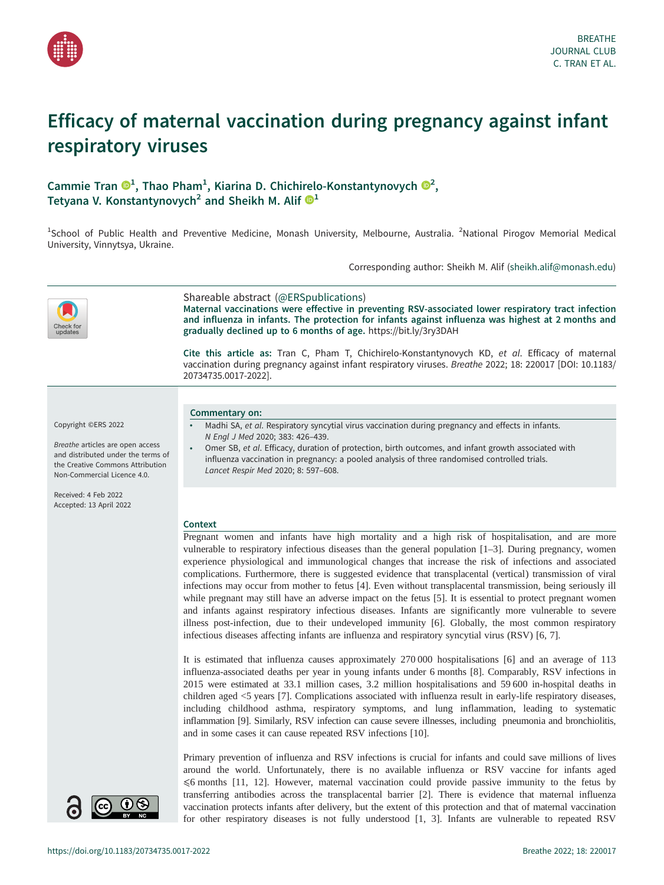

# Efficacy of maternal vaccination during pregnancy against infant respiratory viruses

## Cammie Tran  $\mathbf{O}^1$ , Thao Pham<sup>1</sup>, Kiarina D. Chichirelo-Konstantynovych  $\mathbf{O}^2$ , Tetyana V. Konstantynovych<sup>2</sup> and Sheikh M. Alif  $\mathbb{D}^1$  $\mathbb{D}^1$

<sup>1</sup>School of Public Health and Preventive Medicine, Monash University, Melbourne, Australia. <sup>2</sup>National Pirogov Memorial Medical University, Vinnytsya, Ukraine.

Corresponding author: Sheikh M. Alif ([sheikh.alif@monash.edu](mailto:sheikh.alif@monash.edu))



## Shareable abstract (@ERSpublications)

Maternal vaccinations were effective in preventing RSV-associated lower respiratory tract infection and influenza in infants. The protection for infants against influenza was highest at 2 months and gradually declined up to 6 months of age. <https://bit.ly/3ry3DAH>

Cite this article as: Tran C, Pham T, Chichirelo-Konstantynovych KD, et al. Efficacy of maternal vaccination during pregnancy against infant respiratory viruses. Breathe 2022; 18: 220017 [\[DOI: 10.1183/](https://doi.org/10.1183/20734735.0017-2022) [20734735.0017-2022\].](https://doi.org/10.1183/20734735.0017-2022)

#### Copyright ©ERS 2022

Breathe articles are open access and distributed under the terms of the Creative Commons Attribution Non-Commercial Licence 4.0.

Received: 4 Feb 2022 Accepted: 13 April 2022



Commentary on:

- Madhi SA, et al. Respiratory syncytial virus vaccination during pregnancy and effects in infants. N Engl J Med 2020; 383: 426–439. Omer SB, et al. Efficacy, duration of protection, birth outcomes, and infant growth associated with
- influenza vaccination in pregnancy: a pooled analysis of three randomised controlled trials. Lancet Respir Med 2020; 8: 597–608.

#### **Context**

Pregnant women and infants have high mortality and a high risk of hospitalisation, and are more vulnerable to respiratory infectious diseases than the general population [[1](#page-5-0)–[3\]](#page-5-0). During pregnancy, women experience physiological and immunological changes that increase the risk of infections and associated complications. Furthermore, there is suggested evidence that transplacental (vertical) transmission of viral infections may occur from mother to fetus [\[4\]](#page-5-0). Even without transplacental transmission, being seriously ill while pregnant may still have an adverse impact on the fetus [[5](#page-5-0)]. It is essential to protect pregnant women and infants against respiratory infectious diseases. Infants are significantly more vulnerable to severe illness post-infection, due to their undeveloped immunity [[6](#page-5-0)]. Globally, the most common respiratory infectious diseases affecting infants are influenza and respiratory syncytial virus (RSV) [[6](#page-5-0), [7\]](#page-5-0).

It is estimated that influenza causes approximately 270 000 hospitalisations [[6](#page-5-0)] and an average of 113 influenza-associated deaths per year in young infants under 6 months [[8](#page-5-0)]. Comparably, RSV infections in 2015 were estimated at 33.1 million cases, 3.2 million hospitalisations and 59 600 in-hospital deaths in children aged <5 years [\[7\]](#page-5-0). Complications associated with influenza result in early-life respiratory diseases, including childhood asthma, respiratory symptoms, and lung inflammation, leading to systematic inflammation [\[9\]](#page-5-0). Similarly, RSV infection can cause severe illnesses, including pneumonia and bronchiolitis, and in some cases it can cause repeated RSV infections [\[10](#page-5-0)].

Primary prevention of influenza and RSV infections is crucial for infants and could save millions of lives around the world. Unfortunately, there is no available influenza or RSV vaccine for infants aged ⩽6 months [\[11](#page-5-0), [12\]](#page-5-0). However, maternal vaccination could provide passive immunity to the fetus by transferring antibodies across the transplacental barrier [\[2\]](#page-5-0). There is evidence that maternal influenza vaccination protects infants after delivery, but the extent of this protection and that of maternal vaccination for other respiratory diseases is not fully understood [\[1, 3\]](#page-5-0). Infants are vulnerable to repeated RSV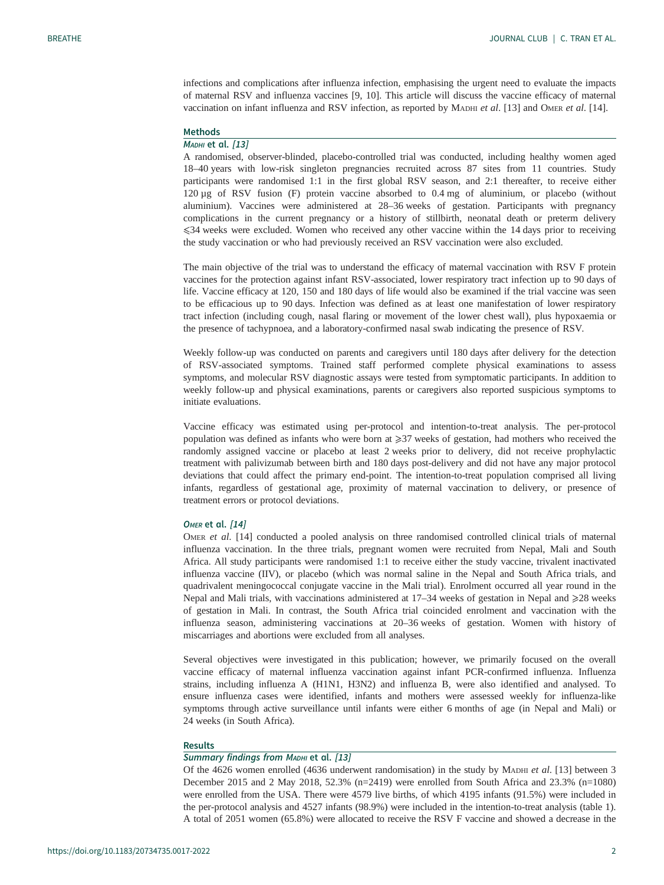infections and complications after influenza infection, emphasising the urgent need to evaluate the impacts of maternal RSV and influenza vaccines [\[9, 10](#page-5-0)]. This article will discuss the vaccine efficacy of maternal vaccination on infant influenza and RSV infection, as reported by МАDHI et al. [[13](#page-5-0)] and Омек et al. [[14\]](#page-5-0).

#### Methods

## М<sub>А</sub>DHI et al. [\[13](#page-5-0)]

A randomised, observer-blinded, placebo-controlled trial was conducted, including healthy women aged 18–40 years with low-risk singleton pregnancies recruited across 87 sites from 11 countries. Study participants were randomised 1:1 in the first global RSV season, and 2:1 thereafter, to receive either 120 µg of RSV fusion (F) protein vaccine absorbed to 0.4 mg of aluminium, or placebo (without aluminium). Vaccines were administered at 28–36 weeks of gestation. Participants with pregnancy complications in the current pregnancy or a history of stillbirth, neonatal death or preterm delivery ⩽34 weeks were excluded. Women who received any other vaccine within the 14 days prior to receiving the study vaccination or who had previously received an RSV vaccination were also excluded.

The main objective of the trial was to understand the efficacy of maternal vaccination with RSV F protein vaccines for the protection against infant RSV-associated, lower respiratory tract infection up to 90 days of life. Vaccine efficacy at 120, 150 and 180 days of life would also be examined if the trial vaccine was seen to be efficacious up to 90 days. Infection was defined as at least one manifestation of lower respiratory tract infection (including cough, nasal flaring or movement of the lower chest wall), plus hypoxaemia or the presence of tachypnoea, and a laboratory-confirmed nasal swab indicating the presence of RSV.

Weekly follow-up was conducted on parents and caregivers until 180 days after delivery for the detection of RSV-associated symptoms. Trained staff performed complete physical examinations to assess symptoms, and molecular RSV diagnostic assays were tested from symptomatic participants. In addition to weekly follow-up and physical examinations, parents or caregivers also reported suspicious symptoms to initiate evaluations.

Vaccine efficacy was estimated using per-protocol and intention-to-treat analysis. The per-protocol population was defined as infants who were born at ≥37 weeks of gestation, had mothers who received the randomly assigned vaccine or placebo at least 2 weeks prior to delivery, did not receive prophylactic treatment with palivizumab between birth and 180 days post-delivery and did not have any major protocol deviations that could affect the primary end-point. The intention-to-treat population comprised all living infants, regardless of gestational age, proximity of maternal vaccination to delivery, or presence of treatment errors or protocol deviations.

#### OMER et al. [\[14](#page-5-0)]

OMER et al. [[14\]](#page-5-0) conducted a pooled analysis on three randomised controlled clinical trials of maternal influenza vaccination. In the three trials, pregnant women were recruited from Nepal, Mali and South Africa. All study participants were randomised 1:1 to receive either the study vaccine, trivalent inactivated influenza vaccine (IIV), or placebo (which was normal saline in the Nepal and South Africa trials, and quadrivalent meningococcal conjugate vaccine in the Mali trial). Enrolment occurred all year round in the Nepal and Mali trials, with vaccinations administered at  $17–34$  weeks of gestation in Nepal and  $\geq 28$  weeks of gestation in Mali. In contrast, the South Africa trial coincided enrolment and vaccination with the influenza season, administering vaccinations at 20–36 weeks of gestation. Women with history of miscarriages and abortions were excluded from all analyses.

Several objectives were investigated in this publication; however, we primarily focused on the overall vaccine efficacy of maternal influenza vaccination against infant PCR-confirmed influenza. Influenza strains, including influenza A (H1N1, H3N2) and influenza B, were also identified and analysed. To ensure influenza cases were identified, infants and mothers were assessed weekly for influenza-like symptoms through active surveillance until infants were either 6 months of age (in Nepal and Mali) or 24 weeks (in South Africa).

#### Results

## Summary findings from MADHI et al. [\[13](#page-5-0)]

Of the 4626 women enrolled (4636 underwent randomisation) in the study by MADHI et al. [\[13](#page-5-0)] between 3 December 2015 and 2 May 2018, 52.3% (n=2419) were enrolled from South Africa and 23.3% (n=1080) were enrolled from the USA. There were 4579 live births, of which 4195 infants (91.5%) were included in the per-protocol analysis and 4527 infants (98.9%) were included in the intention-to-treat analysis [\(table 1\)](#page-2-0). A total of 2051 women (65.8%) were allocated to receive the RSV F vaccine and showed a decrease in the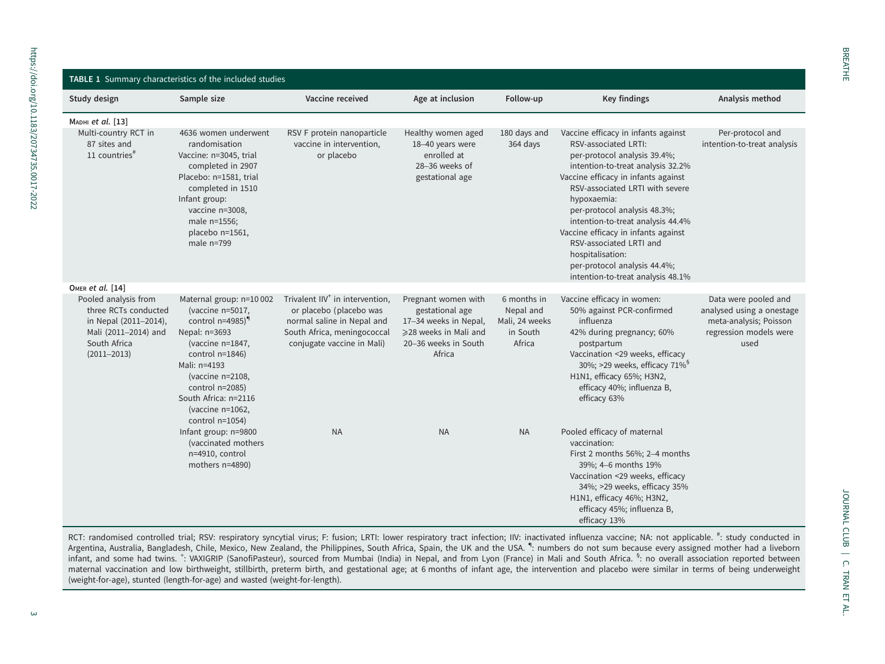<span id="page-2-0"></span>

| TABLE 1 Summary characteristics of the included studies                                                                          |                                                                                                                                                                                                                                                                   |                                                                                                                                                                   |                                                                                                                            |                                                                  |                                                                                                                                                                                                                                                                                                                                                                                                                                                           |                                                                                                               |  |  |
|----------------------------------------------------------------------------------------------------------------------------------|-------------------------------------------------------------------------------------------------------------------------------------------------------------------------------------------------------------------------------------------------------------------|-------------------------------------------------------------------------------------------------------------------------------------------------------------------|----------------------------------------------------------------------------------------------------------------------------|------------------------------------------------------------------|-----------------------------------------------------------------------------------------------------------------------------------------------------------------------------------------------------------------------------------------------------------------------------------------------------------------------------------------------------------------------------------------------------------------------------------------------------------|---------------------------------------------------------------------------------------------------------------|--|--|
| Study design                                                                                                                     | Sample size                                                                                                                                                                                                                                                       | Vaccine received                                                                                                                                                  | Age at inclusion                                                                                                           | Follow-up                                                        | Key findings                                                                                                                                                                                                                                                                                                                                                                                                                                              | Analysis method                                                                                               |  |  |
| Марні et al. [13]                                                                                                                |                                                                                                                                                                                                                                                                   |                                                                                                                                                                   |                                                                                                                            |                                                                  |                                                                                                                                                                                                                                                                                                                                                                                                                                                           |                                                                                                               |  |  |
| Multi-country RCT in<br>87 sites and<br>11 countries $*$                                                                         | 4636 women underwent<br>randomisation<br>Vaccine: n=3045, trial<br>completed in 2907<br>Placebo: n=1581, trial<br>completed in 1510<br>Infant group:<br>vaccine n=3008,<br>male n=1556;<br>placebo n=1561,<br>male $n=799$                                        | RSV F protein nanoparticle<br>vaccine in intervention,<br>or placebo                                                                                              | Healthy women aged<br>18-40 years were<br>enrolled at<br>28-36 weeks of<br>gestational age                                 | 180 days and<br>364 days                                         | Vaccine efficacy in infants against<br>RSV-associated LRTI:<br>per-protocol analysis 39.4%;<br>intention-to-treat analysis 32.2%<br>Vaccine efficacy in infants against<br>RSV-associated LRTI with severe<br>hypoxaemia:<br>per-protocol analysis 48.3%;<br>intention-to-treat analysis 44.4%<br>Vaccine efficacy in infants against<br>RSV-associated LRTI and<br>hospitalisation:<br>per-protocol analysis 44.4%;<br>intention-to-treat analysis 48.1% | Per-protocol and<br>intention-to-treat analysis                                                               |  |  |
| OMER et al. [14]                                                                                                                 |                                                                                                                                                                                                                                                                   |                                                                                                                                                                   |                                                                                                                            |                                                                  |                                                                                                                                                                                                                                                                                                                                                                                                                                                           |                                                                                                               |  |  |
| Pooled analysis from<br>three RCTs conducted<br>in Nepal (2011-2014),<br>Mali (2011-2014) and<br>South Africa<br>$(2011 - 2013)$ | Maternal group: n=10 002<br>(vaccine n=5017,<br>control $n=4985$ <sup>1</sup><br>Nepal: n=3693<br>(vaccine n=1847,<br>control $n=1846$ )<br>Mali: n=4193<br>(vaccine n=2108,<br>control n=2085)<br>South Africa: n=2116<br>(vaccine n=1062,<br>control $n=1054$ ) | Trivalent IIV <sup>+</sup> in intervention,<br>or placebo (placebo was<br>normal saline in Nepal and<br>South Africa, meningococcal<br>conjugate vaccine in Mali) | Pregnant women with<br>gestational age<br>17-34 weeks in Nepal,<br>≥28 weeks in Mali and<br>20-36 weeks in South<br>Africa | 6 months in<br>Nepal and<br>Mali, 24 weeks<br>in South<br>Africa | Vaccine efficacy in women:<br>50% against PCR-confirmed<br>influenza<br>42% during pregnancy; 60%<br>postpartum<br>Vaccination <29 weeks, efficacy<br>30%; >29 weeks, efficacy 71% <sup>§</sup><br>H1N1, efficacy 65%; H3N2,<br>efficacy 40%; influenza B,<br>efficacy 63%                                                                                                                                                                                | Data were pooled and<br>analysed using a onestage<br>meta-analysis; Poisson<br>regression models were<br>used |  |  |
|                                                                                                                                  | Infant group: n=9800<br>(vaccinated mothers)<br>n=4910, control<br>mothers n=4890)                                                                                                                                                                                | <b>NA</b>                                                                                                                                                         | <b>NA</b>                                                                                                                  | <b>NA</b>                                                        | Pooled efficacy of maternal<br>vaccination:<br>First 2 months 56%; 2-4 months<br>39%; 4-6 months 19%<br>Vaccination <29 weeks, efficacy<br>34%; >29 weeks, efficacy 35%<br>H1N1, efficacy 46%; H3N2,<br>efficacy 45%; influenza B,<br>efficacy 13%                                                                                                                                                                                                        |                                                                                                               |  |  |

RCT: randomised controlled trial; RSV: respiratory syncytial virus; F: fusion; LRTI: lower respiratory tract infection; IIV: inactivated influenza vaccine; NA: not applicable. #: study conducted in Argentina, Australia, Bangladesh, Chile, Mexico, New Zealand, the Philippines, South Africa, Spain, the UK and the USA. ": numbers do not sum because every assigned mother had a liveborn infant, and some had twins. <sup>+</sup>: VAXIGRIP (SanofiPasteur), sourced from Mumbai (India) in Nepal, and from Lyon (France) in Mali and South Africa. <sup>§</sup>: no overall association reported between maternal vaccination and low birthweight, stillbirth, preterm birth, and gestational age; at <sup>6</sup> months of infant age, the intervention and placebo were similar in terms of being underweight (weight-for-age), stunted (length-for-age) and wasted (weight-for-length).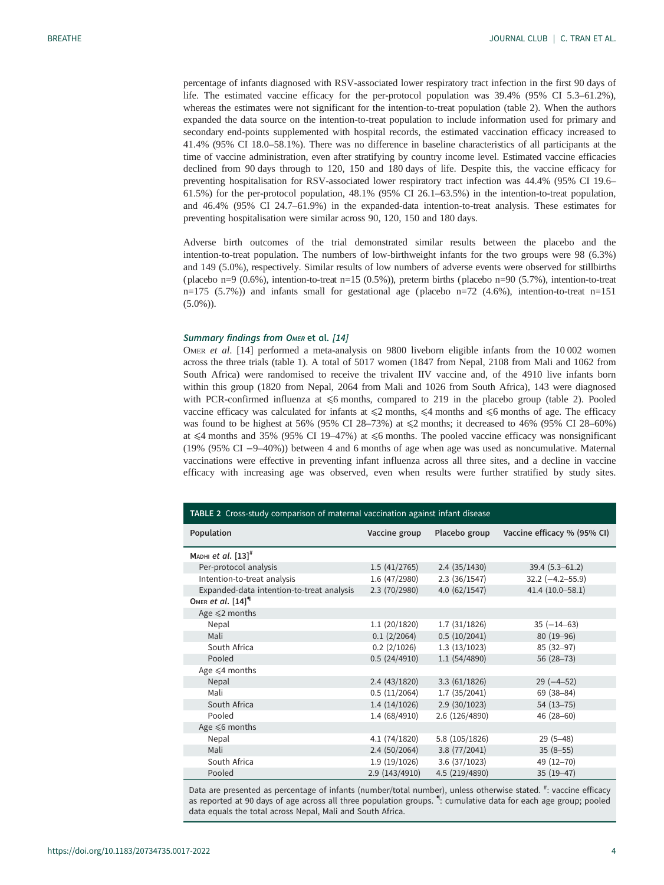<span id="page-3-0"></span>percentage of infants diagnosed with RSV-associated lower respiratory tract infection in the first 90 days of life. The estimated vaccine efficacy for the per-protocol population was 39.4% (95% CI 5.3–61.2%), whereas the estimates were not significant for the intention-to-treat population (table 2). When the authors expanded the data source on the intention-to-treat population to include information used for primary and secondary end-points supplemented with hospital records, the estimated vaccination efficacy increased to 41.4% (95% CI 18.0–58.1%). There was no difference in baseline characteristics of all participants at the time of vaccine administration, even after stratifying by country income level. Estimated vaccine efficacies declined from 90 days through to 120, 150 and 180 days of life. Despite this, the vaccine efficacy for preventing hospitalisation for RSV-associated lower respiratory tract infection was 44.4% (95% CI 19.6– 61.5%) for the per-protocol population, 48.1% (95% CI 26.1–63.5%) in the intention-to-treat population, and 46.4% (95% CI 24.7–61.9%) in the expanded-data intention-to-treat analysis. These estimates for preventing hospitalisation were similar across 90, 120, 150 and 180 days.

Adverse birth outcomes of the trial demonstrated similar results between the placebo and the intention-to-treat population. The numbers of low-birthweight infants for the two groups were 98 (6.3%) and 149 (5.0%), respectively. Similar results of low numbers of adverse events were observed for stillbirths (placebo n=9 (0.6%), intention-to-treat n=15 (0.5%)), preterm births ( placebo n=90 (5.7%), intention-to-treat  $n=175$  (5.7%)) and infants small for gestational age (placebo  $n=72$  (4.6%), intention-to-treat  $n=151$ (5.0%)).

#### Summary findings from OMER et al. [\[14](#page-5-0)]

OMER et al. [\[14](#page-5-0)] performed a meta-analysis on 9800 liveborn eligible infants from the 10002 women across the three trials ([table 1](#page-2-0)). A total of 5017 women (1847 from Nepal, 2108 from Mali and 1062 from South Africa) were randomised to receive the trivalent IIV vaccine and, of the 4910 live infants born within this group (1820 from Nepal, 2064 from Mali and 1026 from South Africa), 143 were diagnosed with PCR-confirmed influenza at  $\leq 6$  months, compared to 219 in the placebo group (table 2). Pooled vaccine efficacy was calculated for infants at  $\leq 2$  months,  $\leq 4$  months and  $\leq 6$  months of age. The efficacy was found to be highest at 56% (95% CI 28-73%) at  $\leq$ 2 months; it decreased to 46% (95% CI 28-60%) at  $\leq$ 4 months and 35% (95% CI 19–47%) at  $\leq$ 6 months. The pooled vaccine efficacy was nonsignificant (19% (95% CI −9–40%)) between 4 and 6 months of age when age was used as noncumulative. Maternal vaccinations were effective in preventing infant influenza across all three sites, and a decline in vaccine efficacy with increasing age was observed, even when results were further stratified by study sites.

| TABLE 2 Cross-study comparison of maternal vaccination against infant disease |                |                |                             |  |  |  |  |
|-------------------------------------------------------------------------------|----------------|----------------|-----------------------------|--|--|--|--|
| Population                                                                    | Vaccine group  | Placebo group  | Vaccine efficacy % (95% CI) |  |  |  |  |
| Марні et al. $[13]^{\#}$                                                      |                |                |                             |  |  |  |  |
| Per-protocol analysis                                                         | 1.5(41/2765)   | 2.4(35/1430)   | $39.4(5.3 - 61.2)$          |  |  |  |  |
| Intention-to-treat analysis                                                   | 1.6 (47/2980)  | 2.3(36/1547)   | $32.2$ (-4.2-55.9)          |  |  |  |  |
| Expanded-data intention-to-treat analysis                                     | 2.3 (70/2980)  | 4.0(62/1547)   | 41.4 (10.0-58.1)            |  |  |  |  |
| OMER et al. $[14]$ <sup>q</sup>                                               |                |                |                             |  |  |  |  |
| Age $\leq 2$ months                                                           |                |                |                             |  |  |  |  |
| Nepal                                                                         | 1.1(20/1820)   | 1.7(31/1826)   | $35(-14-63)$                |  |  |  |  |
| Mali                                                                          | 0.1(2/2064)    | 0.5(10/2041)   | 80 (19-96)                  |  |  |  |  |
| South Africa                                                                  | 0.2(2/1026)    | 1.3(13/1023)   | 85 (32-97)                  |  |  |  |  |
| Pooled                                                                        | 0.5(24/4910)   | 1.1(54/4890)   | 56 (28-73)                  |  |  |  |  |
| Age $\leq 4$ months                                                           |                |                |                             |  |  |  |  |
| Nepal                                                                         | 2.4(43/1820)   | 3.3(61/1826)   | $29(-4-52)$                 |  |  |  |  |
| Mali                                                                          | 0.5(11/2064)   | 1.7(35/2041)   | 69 (38-84)                  |  |  |  |  |
| South Africa                                                                  | 1.4(14/1026)   | 2.9(30/1023)   | $54(13-75)$                 |  |  |  |  |
| Pooled                                                                        | 1.4(68/4910)   | 2.6 (126/4890) | 46 (28-60)                  |  |  |  |  |
| Age $\leq 6$ months                                                           |                |                |                             |  |  |  |  |
| Nepal                                                                         | 4.1 (74/1820)  | 5.8 (105/1826) | $29(5 - 48)$                |  |  |  |  |
| Mali                                                                          | 2.4(50/2064)   | 3.8(77/2041)   | $35(8-55)$                  |  |  |  |  |
| South Africa                                                                  | 1.9(19/1026)   | 3.6(37/1023)   | 49 (12-70)                  |  |  |  |  |
| Pooled                                                                        | 2.9 (143/4910) | 4.5 (219/4890) | $35(19-47)$                 |  |  |  |  |

Data are presented as percentage of infants (number/total number), unless otherwise stated. #: vaccine efficacy as reported at 90 days of age across all three population groups. <sup>4</sup>: cumulative data for each age group; pooled data equals the total across Nepal, Mali and South Africa.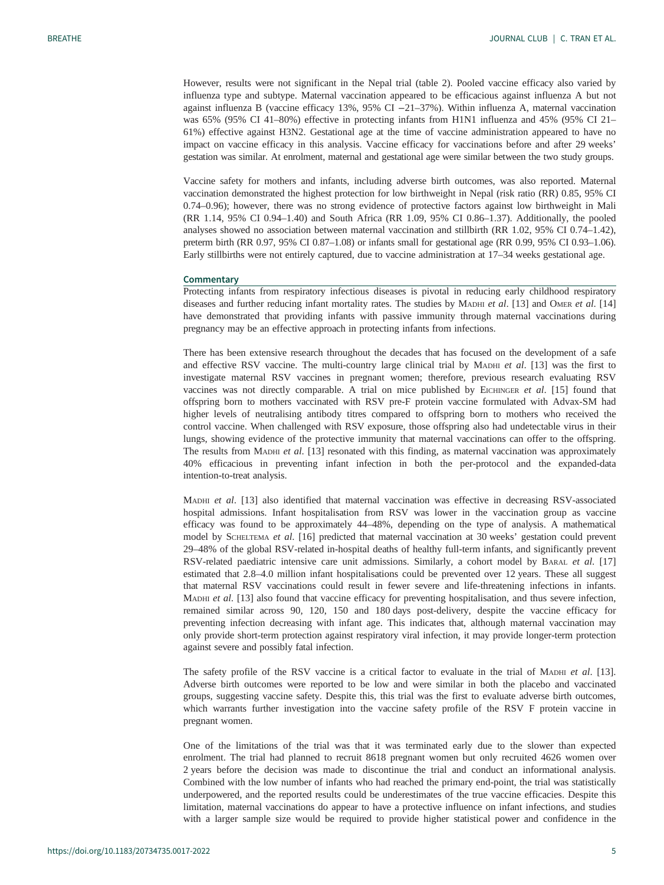However, results were not significant in the Nepal trial ([table 2](#page-3-0)). Pooled vaccine efficacy also varied by influenza type and subtype. Maternal vaccination appeared to be efficacious against influenza A but not against influenza B (vaccine efficacy 13%, 95% CI −21–37%). Within influenza A, maternal vaccination was 65% (95% CI 41–80%) effective in protecting infants from H1N1 influenza and 45% (95% CI 21– 61%) effective against H3N2. Gestational age at the time of vaccine administration appeared to have no impact on vaccine efficacy in this analysis. Vaccine efficacy for vaccinations before and after 29 weeks' gestation was similar. At enrolment, maternal and gestational age were similar between the two study groups.

Vaccine safety for mothers and infants, including adverse birth outcomes, was also reported. Maternal vaccination demonstrated the highest protection for low birthweight in Nepal (risk ratio (RR) 0.85, 95% CI 0.74–0.96); however, there was no strong evidence of protective factors against low birthweight in Mali (RR 1.14, 95% CI 0.94–1.40) and South Africa (RR 1.09, 95% CI 0.86–1.37). Additionally, the pooled analyses showed no association between maternal vaccination and stillbirth (RR 1.02, 95% CI 0.74–1.42), preterm birth (RR 0.97, 95% CI 0.87–1.08) or infants small for gestational age (RR 0.99, 95% CI 0.93–1.06). Early stillbirths were not entirely captured, due to vaccine administration at 17–34 weeks gestational age.

#### **Commentary**

Protecting infants from respiratory infectious diseases is pivotal in reducing early childhood respiratory diseases and further reducing infant mortality rates. The studies by MADHI et al. [[13](#page-5-0)] and OMER et al. [[14\]](#page-5-0) have demonstrated that providing infants with passive immunity through maternal vaccinations during pregnancy may be an effective approach in protecting infants from infections.

There has been extensive research throughout the decades that has focused on the development of a safe and effective RSV vaccine. The multi-country large clinical trial by MADHI et al. [\[13](#page-5-0)] was the first to investigate maternal RSV vaccines in pregnant women; therefore, previous research evaluating RSV vaccines was not directly comparable. A trial on mice published by EICHINGER et al.  $[15]$  $[15]$  found that offspring born to mothers vaccinated with RSV pre-F protein vaccine formulated with Advax-SM had higher levels of neutralising antibody titres compared to offspring born to mothers who received the control vaccine. When challenged with RSV exposure, those offspring also had undetectable virus in their lungs, showing evidence of the protective immunity that maternal vaccinations can offer to the offspring. The results from MADHI et al. [[13\]](#page-5-0) resonated with this finding, as maternal vaccination was approximately 40% efficacious in preventing infant infection in both the per-protocol and the expanded-data intention-to-treat analysis.

MADHI et al. [\[13](#page-5-0)] also identified that maternal vaccination was effective in decreasing RSV-associated hospital admissions. Infant hospitalisation from RSV was lower in the vaccination group as vaccine efficacy was found to be approximately 44–48%, depending on the type of analysis. A mathematical model by SCHELTEMA et al. [[16\]](#page-5-0) predicted that maternal vaccination at 30 weeks' gestation could prevent 29–48% of the global RSV-related in-hospital deaths of healthy full-term infants, and significantly prevent RSV-related paediatric intensive care unit admissions. Similarly, a cohort model by BARAL et al. [[17\]](#page-5-0) estimated that 2.8–4.0 million infant hospitalisations could be prevented over 12 years. These all suggest that maternal RSV vaccinations could result in fewer severe and life-threatening infections in infants. MADHI et al. [\[13\]](#page-5-0) also found that vaccine efficacy for preventing hospitalisation, and thus severe infection, remained similar across 90, 120, 150 and 180 days post-delivery, despite the vaccine efficacy for preventing infection decreasing with infant age. This indicates that, although maternal vaccination may only provide short-term protection against respiratory viral infection, it may provide longer-term protection against severe and possibly fatal infection.

The safety profile of the RSV vaccine is a critical factor to evaluate in the trial of MADHI et al. [[13\]](#page-5-0). Adverse birth outcomes were reported to be low and were similar in both the placebo and vaccinated groups, suggesting vaccine safety. Despite this, this trial was the first to evaluate adverse birth outcomes, which warrants further investigation into the vaccine safety profile of the RSV F protein vaccine in pregnant women.

One of the limitations of the trial was that it was terminated early due to the slower than expected enrolment. The trial had planned to recruit 8618 pregnant women but only recruited 4626 women over 2 years before the decision was made to discontinue the trial and conduct an informational analysis. Combined with the low number of infants who had reached the primary end-point, the trial was statistically underpowered, and the reported results could be underestimates of the true vaccine efficacies. Despite this limitation, maternal vaccinations do appear to have a protective influence on infant infections, and studies with a larger sample size would be required to provide higher statistical power and confidence in the